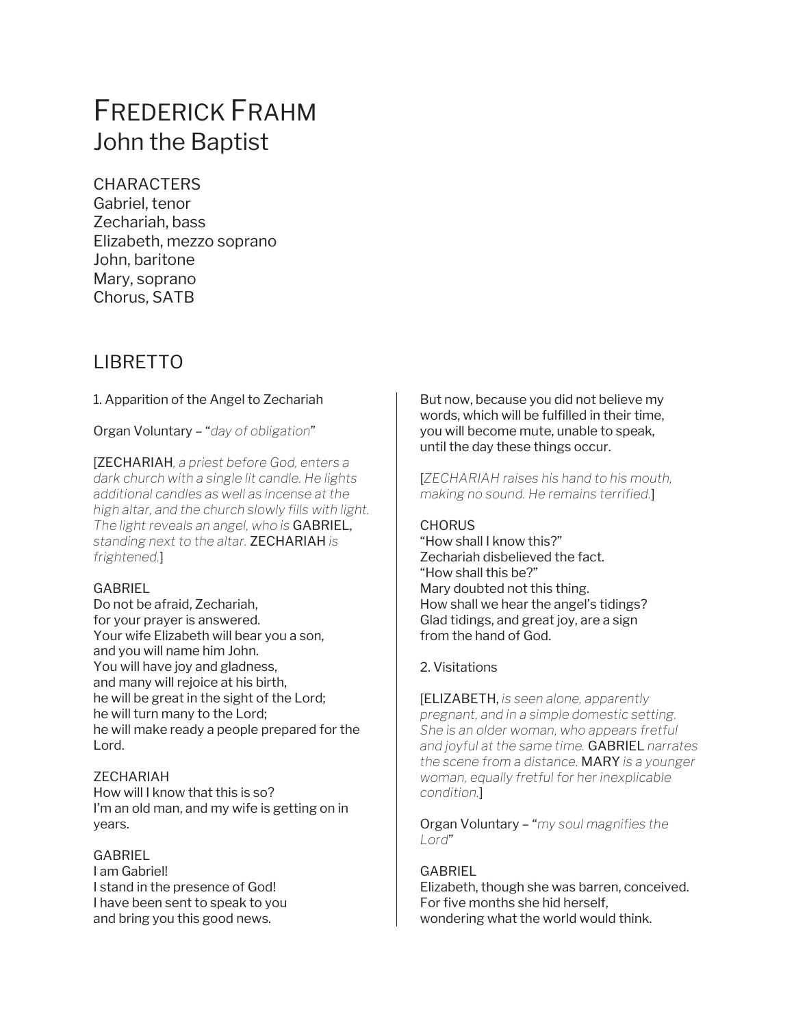# FREDERICK FRAHM John the Baptist

## **CHARACTERS**

Gabriel, tenor Zechariah, bass Elizabeth, mezzo soprano John, baritone Mary, soprano Chorus, SATB

## LIBRETTO

## 1. Apparition of the Angel to Zechariah

Organ Voluntary – "*day of obligation*"

[ZECHARIAH*, a priest before God, enters a dark church with a single lit candle. He lights additional candles as well as incense at the high altar, and the church slowly fills with light. The light reveals an angel, who is* GABRIEL, *standing next to the altar.* ZECHARIAH *is frightened.*]

## GABRIEL

Do not be afraid, Zechariah, for your prayer is answered. Your wife Elizabeth will bear you a son, and you will name him John. You will have joy and gladness, and many will rejoice at his birth, he will be great in the sight of the Lord; he will turn many to the Lord; he will make ready a people prepared for the Lord.

## ZECHARIAH

How will I know that this is so? I'm an old man, and my wife is getting on in years.

#### **GABRIEL**

I am Gabriel! I stand in the presence of God! I have been sent to speak to you and bring you this good news.

But now, because you did not believe my words, which will be fulfilled in their time, you will become mute, unable to speak, until the day these things occur.

[*ZECHARIAH raises his hand to his mouth, making no sound. He remains terrified.*]

## **CHORUS**

"How shall I know this?" Zechariah disbelieved the fact. "How shall this be?" Mary doubted not this thing. How shall we hear the angel's tidings? Glad tidings, and great joy, are a sign from the hand of God.

## 2. Visitations

[ELIZABETH, *is seen alone, apparently pregnant, and in a simple domestic setting. She is an older woman, who appears fretful and joyful at the same time.* GABRIEL *narrates the scene from a distance.* MARY *is a younger woman, equally fretful for her inexplicable condition.*]

Organ Voluntary – "*my soul magnifies the Lord*"

#### **GABRIEL**

Elizabeth, though she was barren, conceived. For five months she hid herself, wondering what the world would think.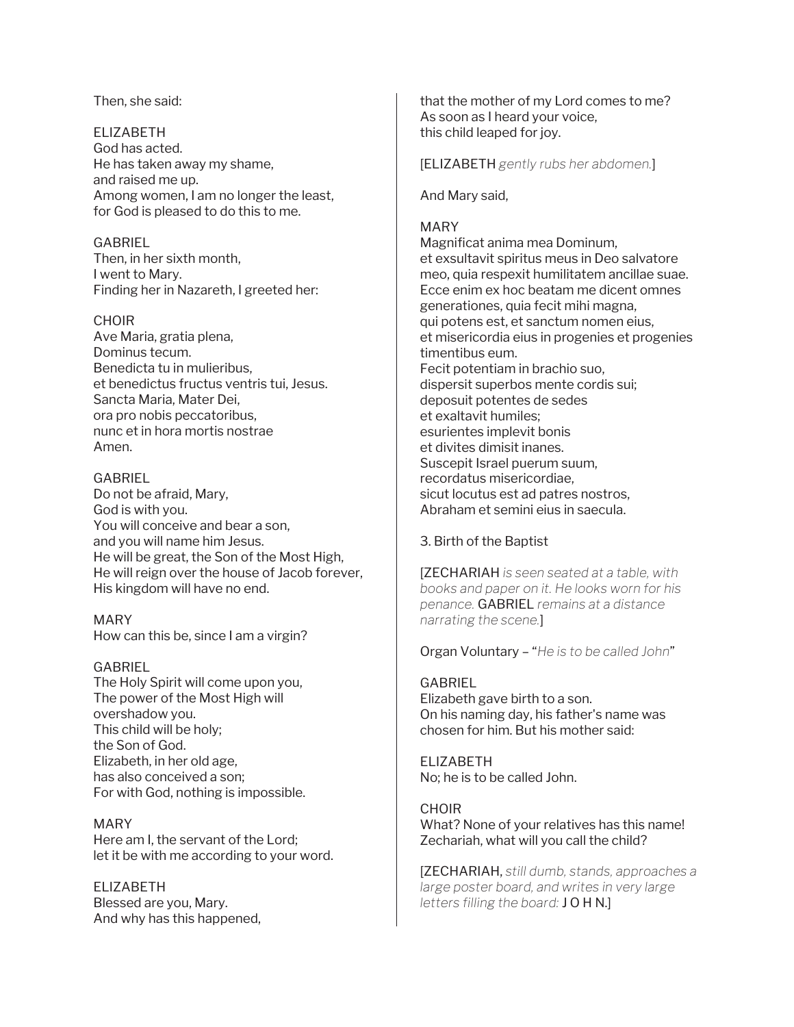Then, she said:

ELIZABETH God has acted. He has taken away my shame, and raised me up. Among women, I am no longer the least, for God is pleased to do this to me.

GABRIEL Then, in her sixth month, I went to Mary. Finding her in Nazareth, I greeted her:

#### CHOIR

Ave Maria, gratia plena, Dominus tecum. Benedicta tu in mulieribus, et benedictus fructus ventris tui, Jesus. Sancta Maria, Mater Dei, ora pro nobis peccatoribus, nunc et in hora mortis nostrae Amen.

## GABRIEL

Do not be afraid, Mary, God is with you. You will conceive and bear a son, and you will name him Jesus. He will be great, the Son of the Most High, He will reign over the house of Jacob forever, His kingdom will have no end.

MARY How can this be, since I am a virgin?

#### GABRIEL

The Holy Spirit will come upon you, The power of the Most High will overshadow you. This child will be holy; the Son of God. Elizabeth, in her old age, has also conceived a son; For with God, nothing is impossible.

MARY Here am I, the servant of the Lord; let it be with me according to your word.

ELIZABETH Blessed are you, Mary. And why has this happened, that the mother of my Lord comes to me? As soon as I heard your voice, this child leaped for joy.

[ELIZABETH *gently rubs her abdomen.*]

And Mary said,

## MARY

Magnificat anima mea Dominum, et exsultavit spiritus meus in Deo salvatore meo, quia respexit humilitatem ancillae suae. Ecce enim ex hoc beatam me dicent omnes generationes, quia fecit mihi magna, qui potens est, et sanctum nomen eius, et misericordia eius in progenies et progenies timentibus eum. Fecit potentiam in brachio suo, dispersit superbos mente cordis sui; deposuit potentes de sedes et exaltavit humiles; esurientes implevit bonis et divites dimisit inanes. Suscepit Israel puerum suum, recordatus misericordiae, sicut locutus est ad patres nostros, Abraham et semini eius in saecula.

## 3. Birth of the Baptist

[ZECHARIAH *is seen seated at a table, with books and paper on it. He looks worn for his penance.* GABRIEL *remains at a distance narrating the scene.*]

Organ Voluntary – "*He is to be called John*"

GABRIEL Elizabeth gave birth to a son. On his naming day, his father's name was chosen for him. But his mother said:

ELIZABETH No; he is to be called John.

**CHOIR** What? None of your relatives has this name! Zechariah, what will you call the child?

[ZECHARIAH, *still dumb, stands, approaches a large poster board, and writes in very large letters filling the board:* J O H N.]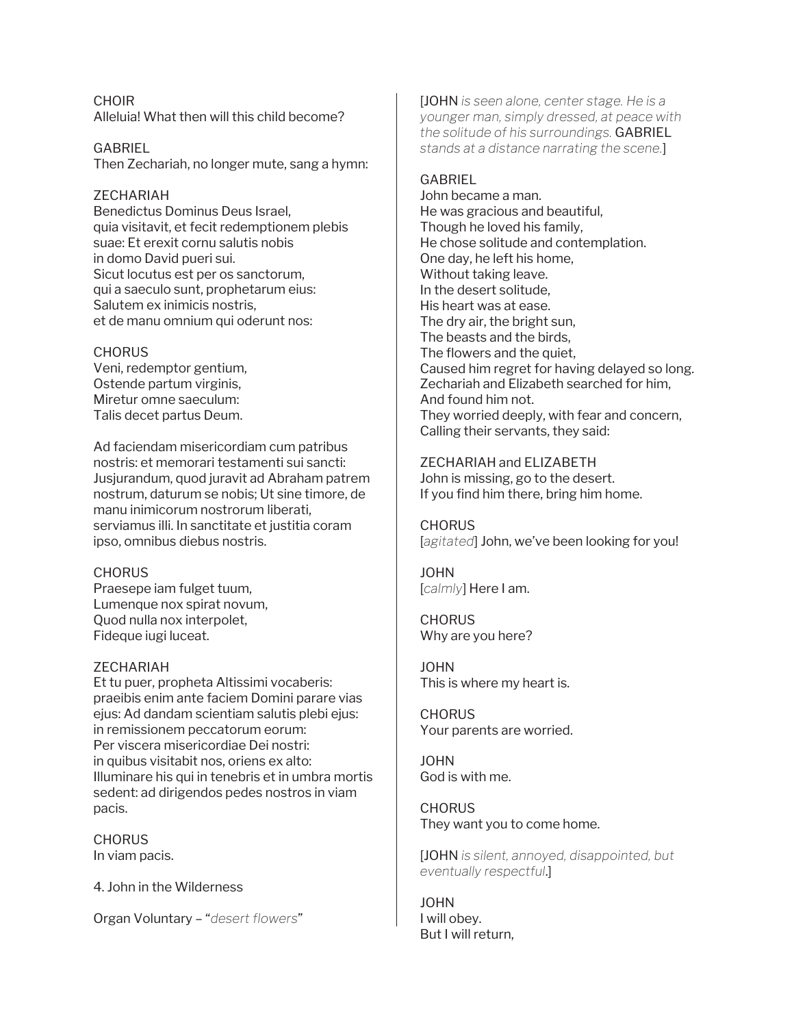CHOIR Alleluia! What then will this child become?

GABRIEL Then Zechariah, no longer mute, sang a hymn:

## ZECHARIAH

Benedictus Dominus Deus Israel, quia visitavit, et fecit redemptionem plebis suae: Et erexit cornu salutis nobis in domo David pueri sui. Sicut locutus est per os sanctorum, qui a saeculo sunt, prophetarum eius: Salutem ex inimicis nostris, et de manu omnium qui oderunt nos:

#### **CHORUS**

Veni, redemptor gentium, Ostende partum virginis, Miretur omne saeculum: Talis decet partus Deum.

Ad faciendam misericordiam cum patribus nostris: et memorari testamenti sui sancti: Jusjurandum, quod juravit ad Abraham patrem nostrum, daturum se nobis; Ut sine timore, de manu inimicorum nostrorum liberati, serviamus illi. In sanctitate et justitia coram ipso, omnibus diebus nostris.

#### **CHORUS**

Praesepe iam fulget tuum, Lumenque nox spirat novum, Quod nulla nox interpolet, Fideque iugi luceat.

#### ZECHARIAH

Et tu puer, propheta Altissimi vocaberis: praeibis enim ante faciem Domini parare vias ejus: Ad dandam scientiam salutis plebi ejus: in remissionem peccatorum eorum: Per viscera misericordiae Dei nostri: in quibus visitabit nos, oriens ex alto: Illuminare his qui in tenebris et in umbra mortis sedent: ad dirigendos pedes nostros in viam pacis.

**CHORUS** In viam pacis.

4. John in the Wilderness

Organ Voluntary – "*desert flowers*"

[JOHN *is seen alone, center stage. He is a younger man, simply dressed, at peace with the solitude of his surroundings.* GABRIEL *stands at a distance narrating the scene.*]

## **GABRIEL**

John became a man. He was gracious and beautiful, Though he loved his family, He chose solitude and contemplation. One day, he left his home, Without taking leave. In the desert solitude, His heart was at ease. The dry air, the bright sun, The beasts and the birds, The flowers and the quiet, Caused him regret for having delayed so long. Zechariah and Elizabeth searched for him, And found him not. They worried deeply, with fear and concern, Calling their servants, they said:

#### ZECHARIAH and ELIZABETH

John is missing, go to the desert. If you find him there, bring him home.

**CHORUS** [*agitated*] John, we've been looking for you!

JOHN [*calmly*] Here I am.

**CHORUS** Why are you here?

JOHN This is where my heart is.

**CHORUS** Your parents are worried.

JOHN God is with me.

**CHORUS** They want you to come home.

[JOHN *is silent, annoyed, disappointed, but eventually respectful*.]

JOHN I will obey. But I will return,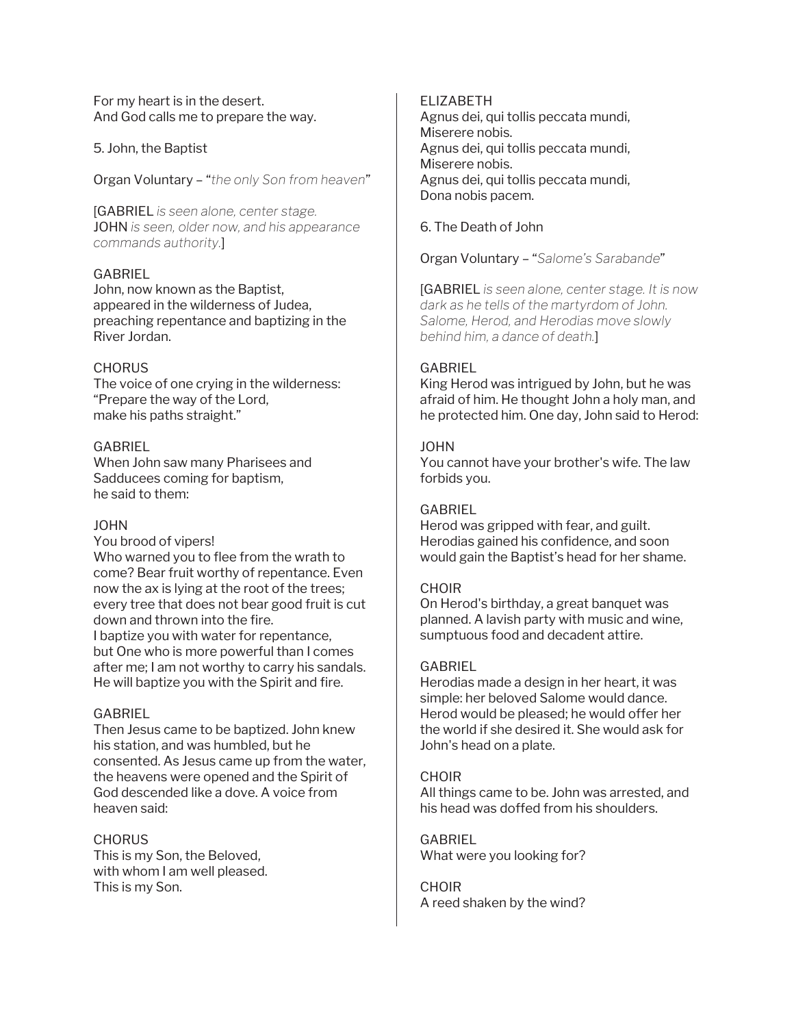For my heart is in the desert. And God calls me to prepare the way.

#### 5. John, the Baptist

Organ Voluntary – "*the only Son from heaven*"

[GABRIEL *is seen alone, center stage.*  JOHN *is seen, older now, and his appearance commands authority.*]

#### GABRIEL

John, now known as the Baptist, appeared in the wilderness of Judea, preaching repentance and baptizing in the River Jordan.

#### **CHORUS**

The voice of one crying in the wilderness: "Prepare the way of the Lord, make his paths straight."

#### **GABRIEL**

When John saw many Pharisees and Sadducees coming for baptism, he said to them:

#### JOHN

You brood of vipers! Who warned you to flee from the wrath to come? Bear fruit worthy of repentance. Even now the ax is lying at the root of the trees; every tree that does not bear good fruit is cut down and thrown into the fire.

I baptize you with water for repentance, but One who is more powerful than I comes after me; I am not worthy to carry his sandals. He will baptize you with the Spirit and fire.

## GABRIEL

Then Jesus came to be baptized. John knew his station, and was humbled, but he consented. As Jesus came up from the water, the heavens were opened and the Spirit of God descended like a dove. A voice from heaven said:

#### **CHORUS**

This is my Son, the Beloved, with whom I am well pleased. This is my Son.

#### ELIZABETH

Agnus dei, qui tollis peccata mundi, Miserere nobis. Agnus dei, qui tollis peccata mundi, Miserere nobis. Agnus dei, qui tollis peccata mundi, Dona nobis pacem.

6. The Death of John

Organ Voluntary – "*Salome's Sarabande*"

[GABRIEL *is seen alone, center stage. It is now dark as he tells of the martyrdom of John. Salome, Herod, and Herodias move slowly behind him, a dance of death.*]

#### **GABRIEL**

King Herod was intrigued by John, but he was afraid of him. He thought John a holy man, and he protected him. One day, John said to Herod:

#### JOHN

You cannot have your brother's wife. The law forbids you.

#### GABRIEL

Herod was gripped with fear, and guilt. Herodias gained his confidence, and soon would gain the Baptist's head for her shame.

#### CHOIR

On Herod's birthday, a great banquet was planned. A lavish party with music and wine, sumptuous food and decadent attire.

#### **GABRIEL**

Herodias made a design in her heart, it was simple: her beloved Salome would dance. Herod would be pleased; he would offer her the world if she desired it. She would ask for John's head on a plate.

#### CHOIR

All things came to be. John was arrested, and his head was doffed from his shoulders.

GABRIEL What were you looking for?

**CHOIR** A reed shaken by the wind?